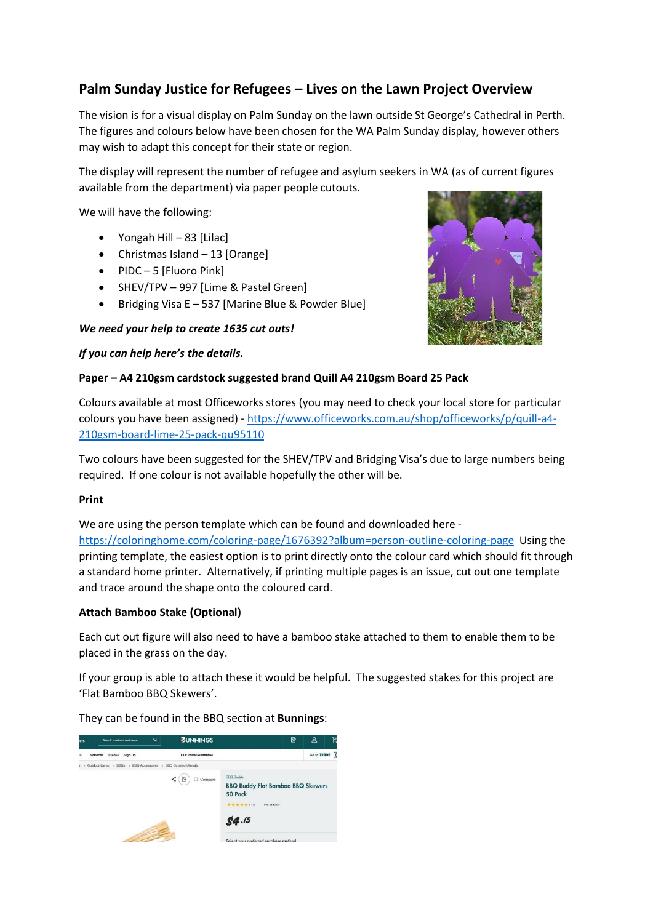# **Palm Sunday Justice for Refugees – Lives on the Lawn Project Overview**

The vision is for a visual display on Palm Sunday on the lawn outside St George's Cathedral in Perth. The figures and colours below have been chosen for the WA Palm Sunday display, however others may wish to adapt this concept for their state or region.

The display will represent the number of refugee and asylum seekers in WA (as of current figures available from the department) via paper people cutouts.

We will have the following:

- Yongah Hill 83 [Lilac]
- Christmas Island 13 [Orange]
- PIDC 5 [Fluoro Pink]
- SHEV/TPV 997 [Lime & Pastel Green]
- Bridging Visa E 537 [Marine Blue & Powder Blue]

# *We need your help to create 1635 cut outs!*



### *If you can help here's the details.*

### **Paper – A4 210gsm cardstock suggested brand Quill A4 210gsm Board 25 Pack**

Colours available at most Officeworks stores (you may need to check your local store for particular colours you have been assigned) - [https://www.officeworks.com.au/shop/officeworks/p/quill-a4-](https://www.officeworks.com.au/shop/officeworks/p/quill-a4-210gsm-board-lime-25-pack-qu95110) [210gsm-board-lime-25-pack-qu95110](https://www.officeworks.com.au/shop/officeworks/p/quill-a4-210gsm-board-lime-25-pack-qu95110)

Two colours have been suggested for the SHEV/TPV and Bridging Visa's due to large numbers being required. If one colour is not available hopefully the other will be.

# **Print**

We are using the person template which can be found and downloaded here <https://coloringhome.com/coloring-page/1676392?album=person-outline-coloring-page> Using the printing template, the easiest option is to print directly onto the colour card which should fit through a standard home printer. Alternatively, if printing multiple pages is an issue, cut out one template and trace around the shape onto the coloured card.

# **Attach Bamboo Stake (Optional)**

Each cut out figure will also need to have a bamboo stake attached to them to enable them to be placed in the grass on the day.

If your group is able to attach these it would be helpful. The suggested stakes for this project are 'Flat Bamboo BBQ Skewers'.

They can be found in the BBQ section at **Bunnings**: